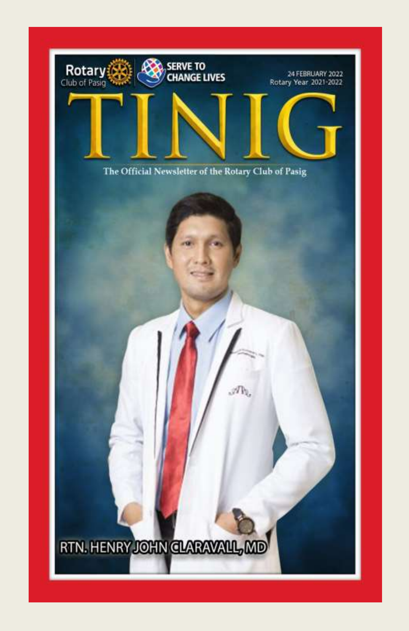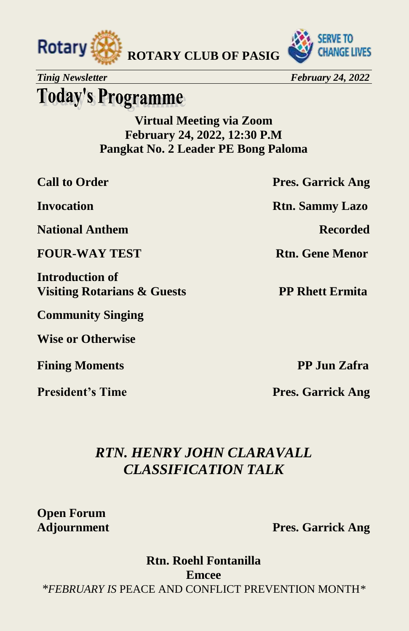



*Tinig Newsletter* February 24, 2022

### **Today's Programme**

**Virtual Meeting via Zoom February 24, 2022, 12:30 P.M Pangkat No. 2 Leader PE Bong Paloma** 

**National Anthem Recorded** 

**FOUR-WAY TEST Rtn. Gene Menor** 

**Introduction of Visiting Rotarians & Guests PP Rhett Ermita** 

**Community Singing** 

**Wise or Otherwise** 

**Fining Moments PP Jun Zafra** 

**Call to Order Pres. Garrick Ang** 

**Invocation Rtn. Sammy Lazo** 

**President's Time Pres. Garrick Ang** 

#### *RTN. HENRY JOHN CLARAVALL CLASSIFICATION TALK*

**Open Forum**

**Adjournment Pres. Garrick Ang** 

**Rtn. Roehl Fontanilla Emcee**  *\*FEBRUARY IS* PEACE AND CONFLICT PREVENTION MONTH*\**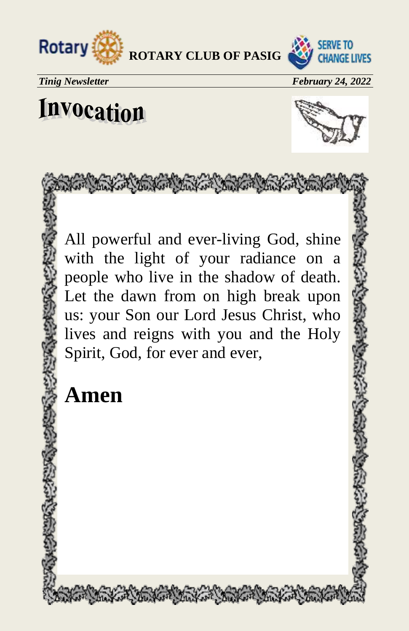



*Tinig Newsletter* February 24, 2022

# Invocation



All powerful and ever-living God, shine with the light of your radiance on a people who live in the shadow of death. Let the dawn from on high break upon us: your Son our Lord Jesus Christ, who lives and reigns with you and the Holy Spirit, God, for ever and ever,

The King The King The King of The King The

**Amen**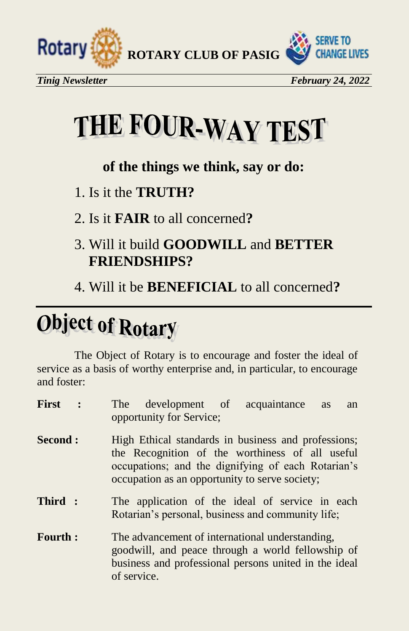

# THE FOUR-WAY TEST

### **of the things we think, say or do:**

- 1. Is it the **TRUTH?**
- 2. Is it **FAIR** to all concerned**?**
- 3. Will it build **GOODWILL** and **BETTER FRIENDSHIPS?**
- 4. Will it be **BENEFICIAL** to all concerned**?**

# **Object of Rotary**

The Object of Rotary is to encourage and foster the ideal of service as a basis of worthy enterprise and, in particular, to encourage and foster:

| First          | development of acquaintance<br>The<br><b>as</b><br>an<br>opportunity for Service;                                                                                                                              |
|----------------|----------------------------------------------------------------------------------------------------------------------------------------------------------------------------------------------------------------|
| Second :       | High Ethical standards in business and professions;<br>the Recognition of the worthiness of all useful<br>occupations; and the dignifying of each Rotarian's<br>occupation as an opportunity to serve society; |
| Third:         | The application of the ideal of service in each<br>Rotarian's personal, business and community life;                                                                                                           |
| <b>Fourth:</b> | The advancement of international understanding,<br>goodwill, and peace through a world fellowship of<br>business and professional persons united in the ideal<br>of service.                                   |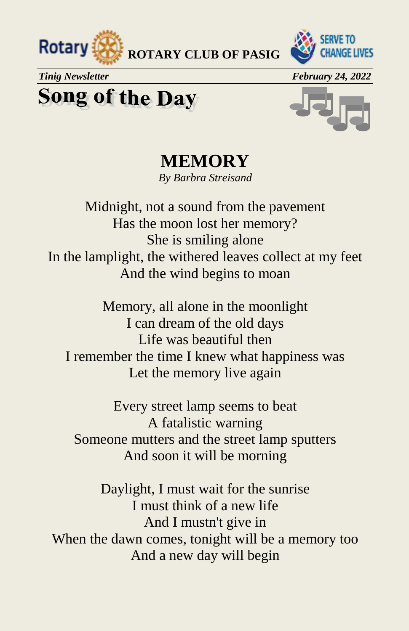



*Tinig Newsletter* February 24, 2022

**Song of the Day** 



### **MEMORY**

*By [Barbra Streisand](https://www.google.com/search?client=avast-a-1&q=Barbra+Streisand&stick=H4sIAAAAAAAAAONgVuLSz9U3ME4zii9KXsQq4JRYlFSUqBBcUpSaWZyYlwIAiYwnMCEAAAA&sa=X&ved=2ahUKEwjt66qgm5f2AhUUad4KHWrMBGkQMXoECBcQAw)* 

Midnight, not a sound from the pavement Has the moon lost her memory? She is smiling alone In the lamplight, the withered leaves collect at my feet And the wind begins to moan

Memory, all alone in the moonlight I can dream of the old days Life was beautiful then I remember the time I knew what happiness was Let the memory live again

Every street lamp seems to beat A fatalistic warning Someone mutters and the street lamp sputters And soon it will be morning

Daylight, I must wait for the sunrise I must think of a new life And I mustn't give in When the dawn comes, tonight will be a memory too And a new day will begin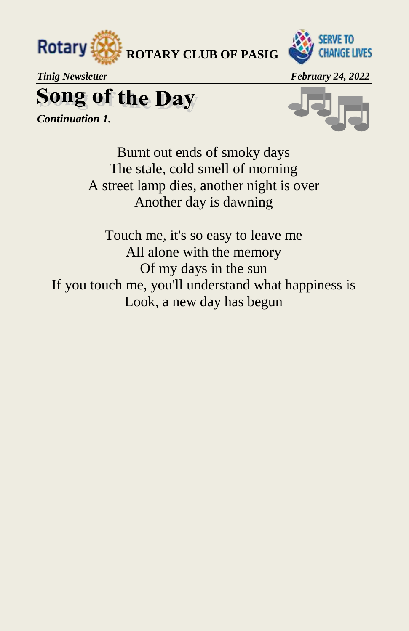



*Tinig Newsletter* February 24, 2022

## **Song of the Day**

*Continuation 1.* 



Burnt out ends of smoky days The stale, cold smell of morning A street lamp dies, another night is over Another day is dawning

Touch me, it's so easy to leave me All alone with the memory Of my days in the sun If you touch me, you'll understand what happiness is Look, a new day has begun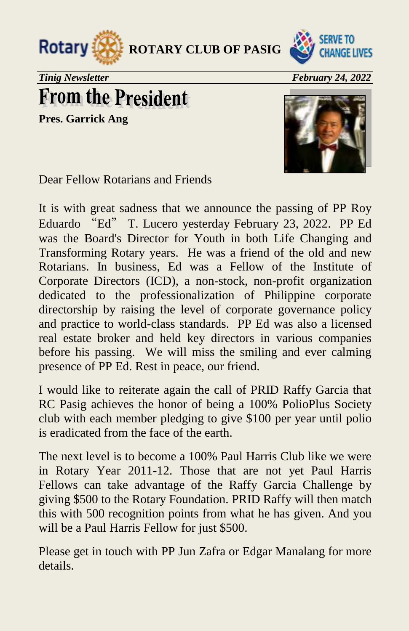



**Tinig Newsletter February 24, 2022** 

## **From the President**

**Pres. Garrick Ang**



Dear Fellow Rotarians and Friends

It is with great sadness that we announce the passing of PP Roy Eduardo "Ed" T. Lucero yesterday February 23, 2022. PP Ed was the Board's Director for Youth in both Life Changing and Transforming Rotary years. He was a friend of the old and new Rotarians. In business, Ed was a Fellow of the Institute of Corporate Directors (ICD), a non-stock, non-profit organization dedicated to the professionalization of Philippine corporate directorship by raising the level of corporate governance policy and practice to world-class standards. PP Ed was also a licensed real estate broker and held key directors in various companies before his passing. We will miss the smiling and ever calming presence of PP Ed. Rest in peace, our friend.

I would like to reiterate again the call of PRID Raffy Garcia that RC Pasig achieves the honor of being a 100% PolioPlus Society club with each member pledging to give \$100 per year until polio is eradicated from the face of the earth.

The next level is to become a 100% Paul Harris Club like we were in Rotary Year 2011-12. Those that are not yet Paul Harris Fellows can take advantage of the Raffy Garcia Challenge by giving \$500 to the Rotary Foundation. PRID Raffy will then match this with 500 recognition points from what he has given. And you will be a Paul Harris Fellow for just \$500.

Please get in touch with PP Jun Zafra or Edgar Manalang for more details.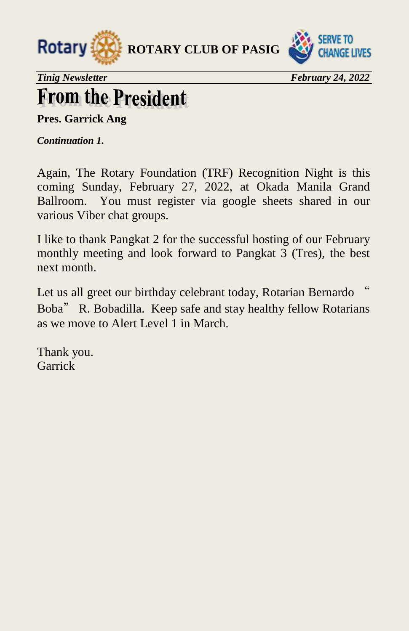



*Tinig Newsletter February 24, 2022* 

## **From the President**

**Pres. Garrick Ang**

*Continuation 1.* 

Again, The Rotary Foundation (TRF) Recognition Night is this coming Sunday, February 27, 2022, at Okada Manila Grand Ballroom. You must register via google sheets shared in our various Viber chat groups.

I like to thank Pangkat 2 for the successful hosting of our February monthly meeting and look forward to Pangkat 3 (Tres), the best next month.

Let us all greet our birthday celebrant today, Rotarian Bernardo Boba" R. Bobadilla. Keep safe and stay healthy fellow Rotarians as we move to Alert Level 1 in March.

Thank you. Garrick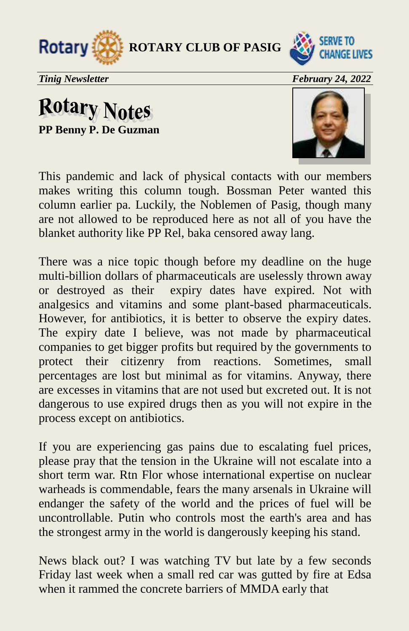



*Tinig Newsletter* February 24, 2022

### **Rotary Notes PP Benny P. De Guzman**



This pandemic and lack of physical contacts with our members makes writing this column tough. Bossman Peter wanted this column earlier pa. Luckily, the Noblemen of Pasig, though many are not allowed to be reproduced here as not all of you have the blanket authority like PP Rel, baka censored away lang.

There was a nice topic though before my deadline on the huge multi-billion dollars of pharmaceuticals are uselessly thrown away or destroyed as their expiry dates have expired. Not with analgesics and vitamins and some plant-based pharmaceuticals. However, for antibiotics, it is better to observe the expiry dates. The expiry date I believe, was not made by pharmaceutical companies to get bigger profits but required by the governments to protect their citizenry from reactions. Sometimes, small percentages are lost but minimal as for vitamins. Anyway, there are excesses in vitamins that are not used but excreted out. It is not dangerous to use expired drugs then as you will not expire in the process except on antibiotics.

If you are experiencing gas pains due to escalating fuel prices, please pray that the tension in the Ukraine will not escalate into a short term war. Rtn Flor whose international expertise on nuclear warheads is commendable, fears the many arsenals in Ukraine will endanger the safety of the world and the prices of fuel will be uncontrollable. Putin who controls most the earth's area and has the strongest army in the world is dangerously keeping his stand.

News black out? I was watching TV but late by a few seconds Friday last week when a small red car was gutted by fire at Edsa when it rammed the concrete barriers of MMDA early that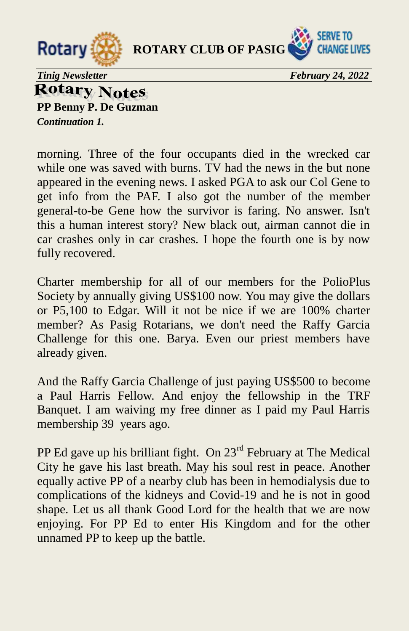



*Tinig Newsletter* February 24, 2022

**Rotary Notes PP Benny P. De Guzman** 

*Continuation 1.* 

morning. Three of the four occupants died in the wrecked car while one was saved with burns. TV had the news in the but none appeared in the evening news. I asked PGA to ask our Col Gene to get info from the PAF. I also got the number of the member general-to-be Gene how the survivor is faring. No answer. Isn't this a human interest story? New black out, airman cannot die in car crashes only in car crashes. I hope the fourth one is by now fully recovered.

Charter membership for all of our members for the PolioPlus Society by annually giving US\$100 now. You may give the dollars or P5,100 to Edgar. Will it not be nice if we are 100% charter member? As Pasig Rotarians, we don't need the Raffy Garcia Challenge for this one. Barya. Even our priest members have already given.

And the Raffy Garcia Challenge of just paying US\$500 to become a Paul Harris Fellow. And enjoy the fellowship in the TRF Banquet. I am waiving my free dinner as I paid my Paul Harris membership 39 years ago.

PP Ed gave up his brilliant fight. On  $23<sup>rd</sup>$  February at The Medical City he gave his last breath. May his soul rest in peace. Another equally active PP of a nearby club has been in hemodialysis due to complications of the kidneys and Covid-19 and he is not in good shape. Let us all thank Good Lord for the health that we are now enjoying. For PP Ed to enter His Kingdom and for the other unnamed PP to keep up the battle.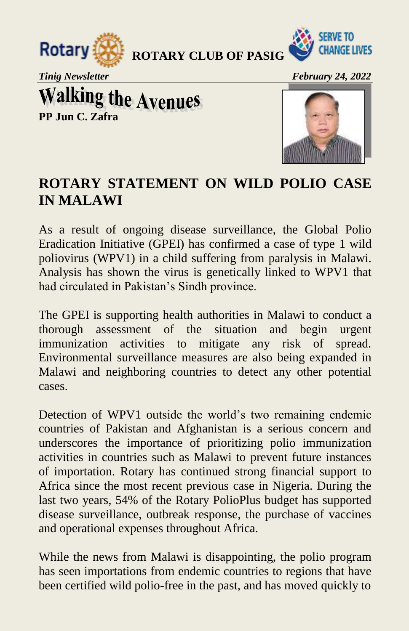



*Tinig Newsletter February 24, 2022* 





#### **ROTARY STATEMENT ON WILD POLIO CASE IN MALAWI**

As a result of ongoing disease surveillance, the Global Polio Eradication Initiative (GPEI) has confirmed a case of type 1 wild poliovirus (WPV1) in a child suffering from paralysis in Malawi. Analysis has shown the virus is genetically linked to WPV1 that had circulated in Pakistan's Sindh province.

The GPEI is supporting health authorities in Malawi to conduct a thorough assessment of the situation and begin urgent immunization activities to mitigate any risk of spread. Environmental surveillance measures are also being expanded in Malawi and neighboring countries to detect any other potential cases.

Detection of WPV1 outside the world's two remaining endemic countries of Pakistan and Afghanistan is a serious concern and underscores the importance of prioritizing polio immunization activities in countries such as Malawi to prevent future instances of importation. Rotary has continued strong financial support to Africa since the most recent previous case in Nigeria. During the last two years, 54% of the Rotary PolioPlus budget has supported disease surveillance, outbreak response, the purchase of vaccines and operational expenses throughout Africa.

While the news from Malawi is disappointing, the polio program has seen importations from endemic countries to regions that have been certified wild polio-free in the past, and has moved quickly to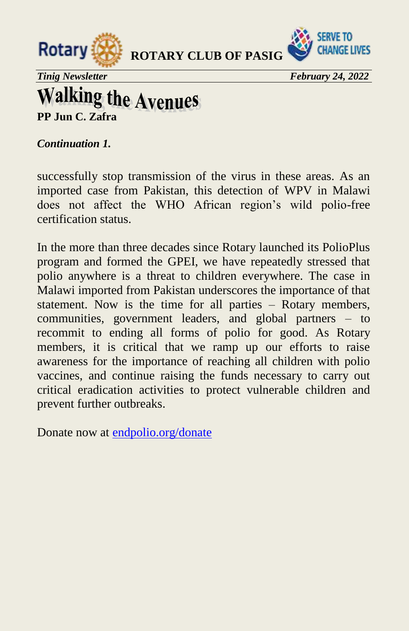



**Tinig Newsletter February 24, 2022** 

# **Walking the Avenues**<br>PP Jun C. Zafra

#### *Continuation 1.*

successfully stop transmission of the virus in these areas. As an imported case from Pakistan, this detection of WPV in Malawi does not affect the WHO African region's wild polio-free certification status.

In the more than three decades since Rotary launched its PolioPlus program and formed the GPEI, we have repeatedly stressed that polio anywhere is a threat to children everywhere. The case in Malawi imported from Pakistan underscores the importance of that statement. Now is the time for all parties – Rotary members, communities, government leaders, and global partners – to recommit to ending all forms of polio for good. As Rotary members, it is critical that we ramp up our efforts to raise awareness for the importance of reaching all children with polio vaccines, and continue raising the funds necessary to carry out critical eradication activities to protect vulnerable children and prevent further outbreaks.

Donate now at [endpolio.org/donate](https://endpolio.org/donate)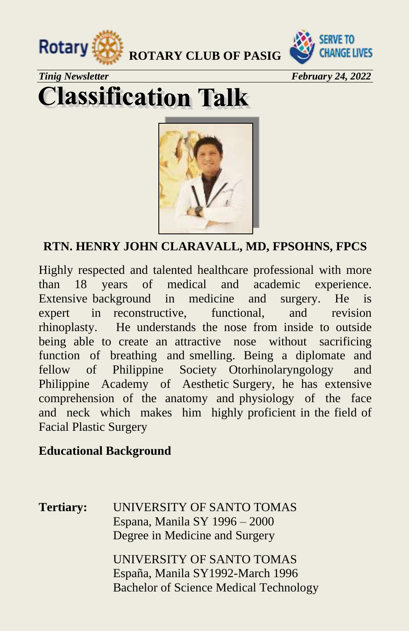



### **Tinig Newsletter February 24, 2022**

# **Classification Talk**



#### **RTN. HENRY JOHN CLARAVALL, MD, FPSOHNS, FPCS**

Highly respected and talented healthcare professional with more than 18 years of medical and academic experience. Extensive backg[round in medicine and s](mailto:henryclaravallmd@yahoo.com)urgery. He is expert in reconstructive, functional, and revision rhinoplasty. He understands the nose from inside to outside being able to create an attractive nose without sacrificing function of breathing and smelling. Being a diplomate and fellow of Philippine Society Otorhinolaryngology and Philippine Academy of Aesthetic Surgery, he has extensive comprehension of the anatomy and physiology of the face and neck which makes him highly proficient in the field of Facial Plastic Surgery

#### **Educational Background**

**Tertiary:** UNIVERSITY OF SANTO TOMAS Espana, Manila SY 1996 – 2000 Degree in Medicine and Surgery

> UNIVERSITY OF SANTO TOMAS España, Manila SY1992-March 1996 Bachelor of Science Medical Technology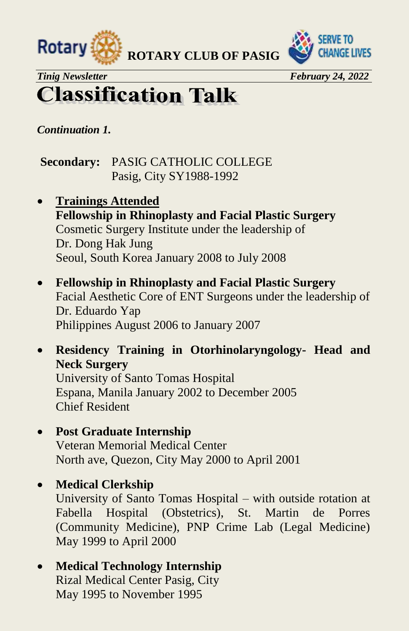



**Tinig Newsletter February 24, 2022** 

### **Classification Talk**

#### *Continuation 1.*

#### **Secondary:** PASIG CATHOLIC COLLEGE Pasig, City SY1988-1992

- **Trainings Attended Fellowship in Rhinoplasty and Facial Plastic Surgery** Cosmetic Surgery Institute under the leadership of Dr. Dong Hak Jung Seoul, South Korea January 2008 to July 2008
- **Fellowship in Rhinoplasty and Facial Plastic Surgery** Facial Aesthetic Core of ENT Surgeons under the leadership of Dr. Eduardo Yap Philippines August 2006 to January 2007
- **Residency Training in Otorhinolaryngology- Head and Neck Surgery** University of Santo Tomas Hospital Espana, Manila January 2002 to December 2005 Chief Resident
- **Post Graduate Internship** Veteran Memorial Medical Center North ave, Quezon, City May 2000 to April 2001
- **Medical Clerkship** University of Santo Tomas Hospital – with outside rotation at Fabella Hospital (Obstetrics), St. Martin de Porres (Community Medicine), PNP Crime Lab (Legal Medicine) May 1999 to April 2000
- **Medical Technology Internship** Rizal Medical Center Pasig, City May 1995 to November 1995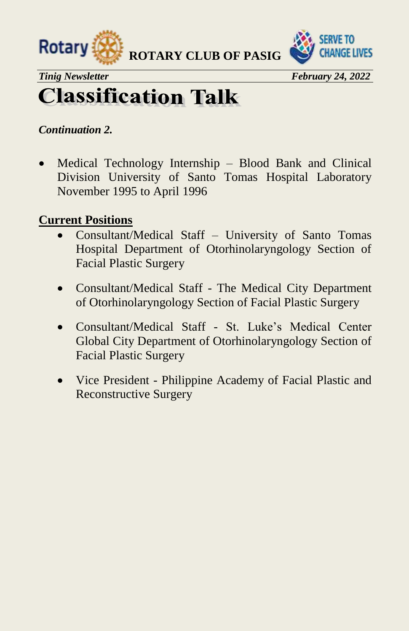



**Tinig Newsletter February 24, 2022** 

### **Classification Talk**

#### *Continuation 2.*

 Medical Technology Internship – Blood Bank and Clinical Division University of Santo Tomas Hospital Laboratory November 1995 to April 1996

#### **Current Positions**

- Consultant/Medical Staff University of Santo Tomas Hospital Department of Otorhinolaryngology Section of Facial Plastic Surgery
- Consultant/Medical Staff The Medical City Department of Otorhinolaryngology Section of Facial Plastic Surgery
- Consultant/Medical Staff St. Luke's Medical Center Global City Department of Otorhinolaryngology Section of Facial Plastic Surgery
- Vice President Philippine Academy of Facial Plastic and Reconstructive Surgery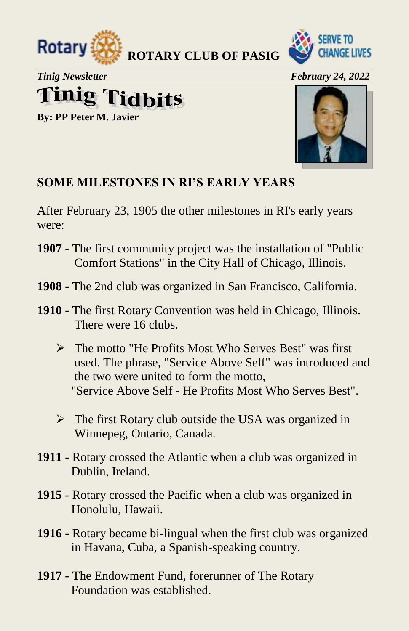



**Tinig Tidbits** 

**By: PP Peter M. Javier** 



#### **SOME MILESTONES IN RI'S EARLY YEARS**

After February 23, 1905 the other milestones in RI's early years were:

- **1907 -** The first community project was the installation of "Public Comfort Stations" in the City Hall of Chicago, Illinois.
- **1908 -** The 2nd club was organized in San Francisco, California.
- **1910 -** The first Rotary Convention was held in Chicago, Illinois. There were 16 clubs.
	- The motto "He Profits Most Who Serves Best" was first used. The phrase, "Service Above Self" was introduced and the two were united to form the motto, "Service Above Self - He Profits Most Who Serves Best".
	- $\triangleright$  The first Rotary club outside the USA was organized in Winnepeg, Ontario, Canada.
- **1911** Rotary crossed the Atlantic when a club was organized in Dublin, Ireland.
- **1915 -** Rotary crossed the Pacific when a club was organized in Honolulu, Hawaii.
- **1916 -** Rotary became bi-lingual when the first club was organized in Havana, Cuba, a Spanish-speaking country.
- **1917 -** The Endowment Fund, forerunner of The Rotary Foundation was established.

*Tinig Newsletter* February 24, 2022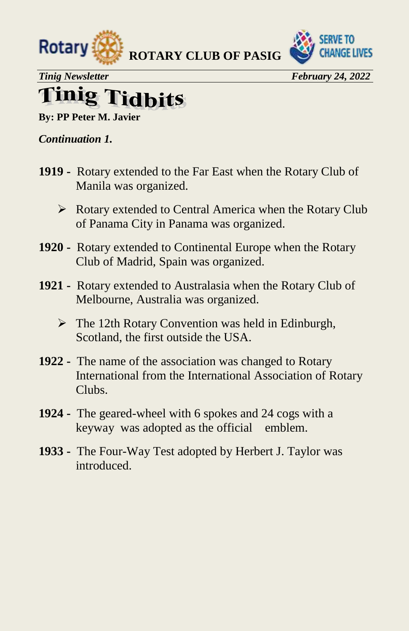



*Tinig Newsletter* February 24, 2022

## **finig Tidbits**

**By: PP Peter M. Javier** 

*Continuation 1.* 

- **1919 -** Rotary extended to the Far East when the Rotary Club of Manila was organized.
	- $\triangleright$  Rotary extended to Central America when the Rotary Club of Panama City in Panama was organized.
- **1920 -** Rotary extended to Continental Europe when the Rotary Club of Madrid, Spain was organized.
- **1921 -** Rotary extended to Australasia when the Rotary Club of Melbourne, Australia was organized.
	- $\triangleright$  The 12th Rotary Convention was held in Edinburgh, Scotland, the first outside the USA.
- **1922 -** The name of the association was changed to Rotary International from the International Association of Rotary Clubs.
- **1924 -** The geared-wheel with 6 spokes and 24 cogs with a keyway was adopted as the official emblem.
- **1933 -** The Four-Way Test adopted by Herbert J. Taylor was introduced.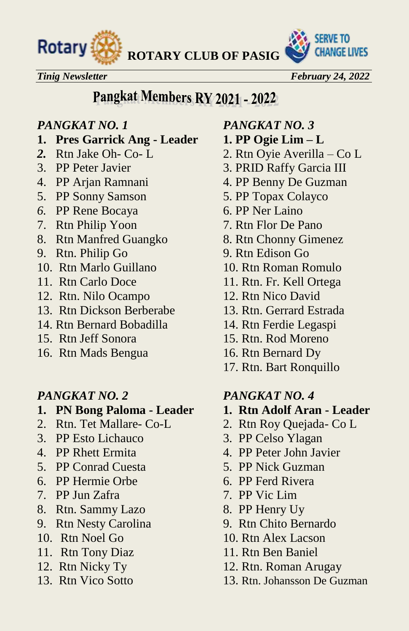





**Tinig Newsletter February 24, 2022** 

### Pangkat Members RY 2021 - 2022

- **1. Pres Garrick Ang Leader 1. PP Ogie Lim – L**
- 
- 
- 
- 5. PP Sonny Samson 5. PP Topax Colayco
- *6.* PP Rene Bocaya 6. PP Ner Laino
- 7. Rtn Philip Yoon 7. Rtn Flor De Pano
- 8. Rtn Manfred Guangko 8. Rtn Chonny Gimenez
- 9. Rtn. Philip Go 9. Rtn Edison Go
- 10. Rtn Marlo Guillano 10. Rtn Roman Romulo
- 
- 12. Rtn. Nilo Ocampo 12. Rtn Nico David
- 13. Rtn Dickson Berberabe 13. Rtn. Gerrard Estrada
- 14. Rtn Bernard Bobadilla 14. Rtn Ferdie Legaspi
- 
- 16. Rtn Mads Bengua 16. Rtn Bernard Dy

- **1. PN Bong Paloma Leader 1. Rtn Adolf Aran Leader**
- 2. Rtn. Tet Mallare- Co-L 2. Rtn Roy Quejada- Co L
- 3. PP Esto Lichauco 3. PP Celso Ylagan
- 
- 5. PP Conrad Cuesta 5. PP Nick Guzman
- 6. PP Hermie Orbe 6. PP Ferd Rivera
- 7. PP Jun Zafra 7. PP Vic Lim
- 8. Rtn. Sammy Lazo 8. PP Henry Uy
- 9. Rtn Nesty Carolina 9. Rtn Chito Bernardo
- 
- 11. Rtn Tony Diaz 11. Rtn Ben Baniel
- 
- 

#### *PANGKAT NO. 1 PANGKAT NO. 3*

- 
- *2.* Rtn Jake Oh- Co- L 2. Rtn Oyie Averilla Co L
- 3. PP Peter Javier 3. PRID Raffy Garcia III
- 4. PP Arjan Ramnani 4. PP Benny De Guzman
	-
	-
	-
	-
	-
	-
- 11. Rtn Carlo Doce 11. Rtn. Fr. Kell Ortega
	-
	-
	-
- 15. Rtn Jeff Sonora 15. Rtn. Rod Moreno
	-
	- 17. Rtn. Bart Ronquillo

#### *PANGKAT NO. 2 PANGKAT NO. 4*

- 
- 
- 
- 4. PP Rhett Ermita 4. PP Peter John Javier
	-
	-
	-
	-
	-
- 10. Rtn Noel Go 10. Rtn Alex Lacson
	-
- 12. Rtn Nicky Ty 12. Rtn. Roman Arugay
- 13. Rtn Vico Sotto 13. Rtn. Johansson De Guzman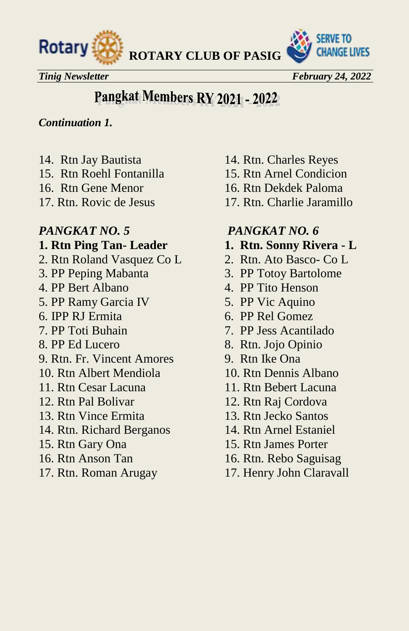



*Tinig Newsletter February 24, 2022* 

### Pangkat Members RY 2021 - 2022

#### *Continuation 1.*

- 
- 15. Rtn Roehl Fontanilla 15. Rtn Arnel Condicion
- 
- 

#### **1. Rtn Ping Tan- Leader 1. Rtn. Sonny Rivera - L**

- 2. Rtn Roland Vasquez Co L 2. Rtn. Ato Basco- Co L
- 
- 
- 5. PP Ramy Garcia IV 5. PP Vic Aquino
- 
- 
- 
- 9. Rtn. Fr. Vincent Amores 9. Rtn Ike Ona
- 10. Rtn Albert Mendiola 10. Rtn Dennis Albano
- 
- 
- 13. Rtn Vince Ermita 13. Rtn Jecko Santos
- 14. Rtn. Richard Berganos 14. Rtn Arnel Estaniel
- 
- 
- 
- 14. Rtn Jay Bautista 14. Rtn. Charles Reyes
	-
- 16. Rtn Gene Menor 16. Rtn Dekdek Paloma
- 17. Rtn. Rovic de Jesus 17. Rtn. Charlie Jaramillo

#### *PANGKAT NO. 5 PANGKAT NO. 6*

- 
- 
- 3. PP Peping Mabanta 3. PP Totoy Bartolome
- 4. PP Bert Albano 4. PP Tito Henson
	-
- 6. IPP RJ Ermita 6. PP Rel Gomez
- 7. PP Toti Buhain 7. PP Jess Acantilado
- 8. PP Ed Lucero 8. Rtn. Jojo Opinio
	-
	-
- 11. Rtn Cesar Lacuna 11. Rtn Bebert Lacuna
- 12. Rtn Pal Bolivar 12. Rtn Raj Cordova
	-
	-
- 15. Rtn Gary Ona 15. Rtn James Porter
- 16. Rtn Anson Tan 16. Rtn. Rebo Saguisag
- 17. Rtn. Roman Arugay 17. Henry John Claravall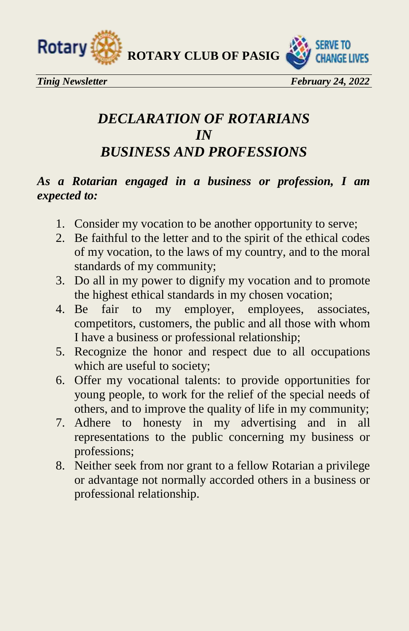



*Tinig Newsletter February 24, 2022* 

#### *DECLARATION OF ROTARIANS IN BUSINESS AND PROFESSIONS*

#### *As a Rotarian engaged in a business or profession, I am expected to:*

- 1. Consider my vocation to be another opportunity to serve;
- 2. Be faithful to the letter and to the spirit of the ethical codes of my vocation, to the laws of my country, and to the moral standards of my community;
- 3. Do all in my power to dignify my vocation and to promote the highest ethical standards in my chosen vocation;
- 4. Be fair to my employer, employees, associates, competitors, customers, the public and all those with whom I have a business or professional relationship;
- 5. Recognize the honor and respect due to all occupations which are useful to society;
- 6. Offer my vocational talents: to provide opportunities for young people, to work for the relief of the special needs of others, and to improve the quality of life in my community;
- 7. Adhere to honesty in my advertising and in all representations to the public concerning my business or professions;
- 8. Neither seek from nor grant to a fellow Rotarian a privilege or advantage not normally accorded others in a business or professional relationship.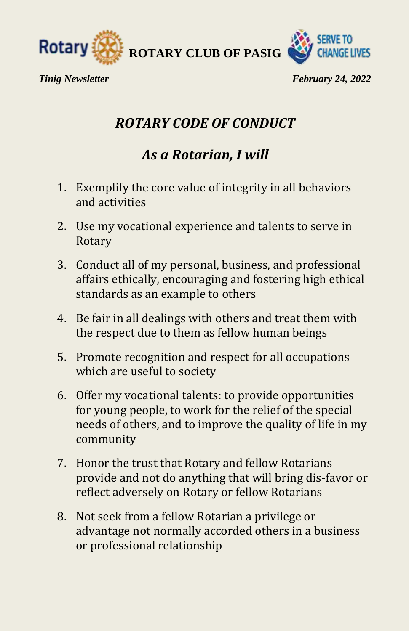



### *ROTARY CODE OF CONDUCT*

### *As a Rotarian, I will*

- 1. Exemplify the core value of integrity in all behaviors and activities
- 2. Use my vocational experience and talents to serve in Rotary
- 3. Conduct all of my personal, business, and professional affairs ethically, encouraging and fostering high ethical standards as an example to others
- 4. Be fair in all dealings with others and treat them with the respect due to them as fellow human beings
- 5. Promote recognition and respect for all occupations which are useful to society
- 6. Offer my vocational talents: to provide opportunities for young people, to work for the relief of the special needs of others, and to improve the quality of life in my community
- 7. Honor the trust that Rotary and fellow Rotarians provide and not do anything that will bring dis-favor or reflect adversely on Rotary or fellow Rotarians
- 8. Not seek from a fellow Rotarian a privilege or advantage not normally accorded others in a business or professional relationship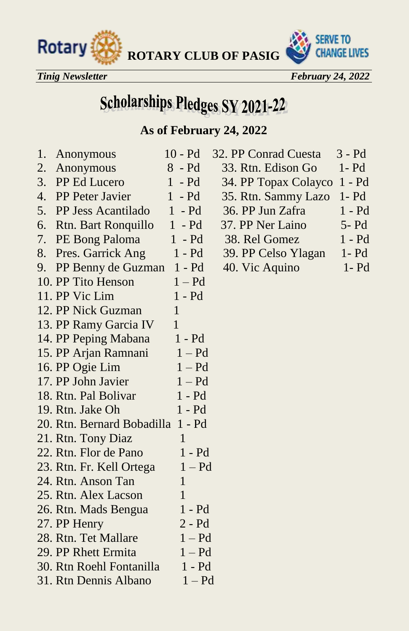



**Tinig Newsletter** February 24, 2022

## **Scholarships Pledges SY 2021-22**

#### **As of February 24, 2022**

| 1. | Anonymous                         | $10 - Pd$             | 32. PP Conrad Cuesta | 3 - Pd   |
|----|-----------------------------------|-----------------------|----------------------|----------|
| 2. | Anonymous                         | $8 - Pd$              | 33. Rtn. Edison Go   | $1 - Pd$ |
| 3. | PP Ed Lucero                      | $1 - Pd$              | 34. PP Topax Colayco | $1 - Pd$ |
| 4. | <b>PP</b> Peter Javier            | $\mathbf{1}$<br>$-Pd$ | 35. Rtn. Sammy Lazo  | $1 - Pd$ |
| 5. | PP Jess Acantilado                | $1 - Pd$              | 36. PP Jun Zafra     | $1 - Pd$ |
| 6. | Rtn. Bart Ronquillo               | $1 - Pd$              | 37. PP Ner Laino     | $5-$ Pd  |
| 7. | PE Bong Paloma                    | $1 - Pd$              | 38. Rel Gomez        | $1 - Pd$ |
| 8. | Pres. Garrick Ang                 | $1 - Pd$              | 39. PP Celso Ylagan  | $1 - Pd$ |
| 9. | PP Benny de Guzman 1 - Pd         |                       | 40. Vic Aquino       | $1 - Pd$ |
|    | 10. PP Tito Henson                | $1 - Pd$              |                      |          |
|    | 11. PP Vic Lim                    | $1 - Pd$              |                      |          |
|    | 12. PP Nick Guzman                | $\mathbf{1}$          |                      |          |
|    | 13. PP Ramy Garcia IV             | $\mathbf{1}$          |                      |          |
|    | 14. PP Peping Mabana              | $1 - Pd$              |                      |          |
|    | 15. PP Arjan Ramnani              | $1 - Pd$              |                      |          |
|    | 16. PP Ogie Lim                   | $1 - Pd$              |                      |          |
|    | 17. PP John Javier                | $1 - Pd$              |                      |          |
|    | 18. Rtn. Pal Bolivar              | 1 - Pd                |                      |          |
|    | 19. Rtn. Jake Oh                  | $1 - Pd$              |                      |          |
|    | 20. Rtn. Bernard Bobadilla 1 - Pd |                       |                      |          |
|    | 21. Rtn. Tony Diaz                | 1                     |                      |          |
|    | 22. Rtn. Flor de Pano             | 1 - Pd                |                      |          |
|    | 23. Rtn. Fr. Kell Ortega          | $1 - Pd$              |                      |          |
|    | 24. Rtn. Anson Tan                | $\mathbf{1}$          |                      |          |
|    | 25. Rtn. Alex Lacson              | $\mathbf{1}$          |                      |          |
|    | 26. Rtn. Mads Bengua              | $1 - Pd$              |                      |          |
|    | 27. PP Henry                      | $2 - Pd$              |                      |          |
|    | 28. Rtn. Tet Mallare              | $1 - Pd$              |                      |          |
|    | 29. PP Rhett Ermita               | $1 - Pd$              |                      |          |
|    | 30. Rtn Roehl Fontanilla          | $1 - Pd$              |                      |          |
|    | 31. Rtn Dennis Albano             | $1 - Pd$              |                      |          |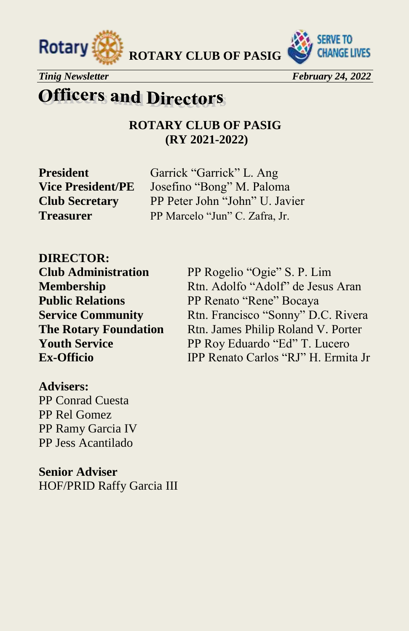



*Tinig Newsletter* February 24, 2022

### **Officers and Directors**

**ROTARY CLUB OF PASIG (RY 2021-2022)**

**President** Garrick "Garrick" L. Ang **Vice President/PE** Josefino "Bong" M. Paloma **Club Secretary** PP Peter John "John" U. Javier **Treasurer** PP Marcelo "Jun" C. Zafra, Jr.

**DIRECTOR:** 

**Club Administration** PP Rogelio "Ogie" S. P. Lim **Membership** Rtn. Adolfo "Adolf" de Jesus Aran **Public Relations** PP Renato "Rene" Bocaya **Service Community** Rtn. Francisco "Sonny" D.C. Rivera **The Rotary Foundation** Rtn. James Philip Roland V. Porter **Youth Service** PP Roy Eduardo "Ed" T. Lucero **Ex-Officio** IPP Renato Carlos "RJ" H. Ermita Jr

#### **Advisers:**

PP Conrad Cuesta PP Rel Gomez PP Ramy Garcia IV PP Jess Acantilado

**Senior Adviser**  HOF/PRID Raffy Garcia III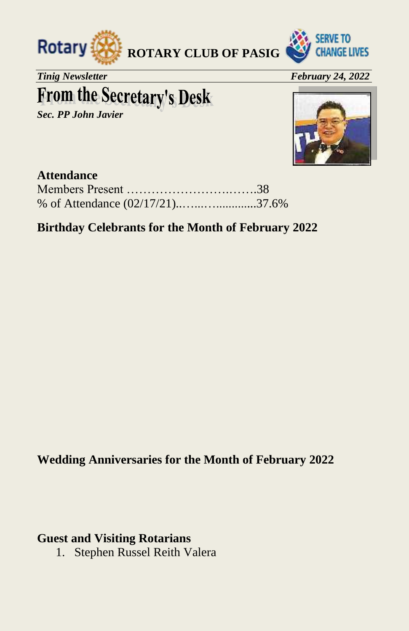



*Tinig Newsletter* February 24, 2022

## **From the Secretary's Desk**

*Sec. PP John Javier* 



#### **Attendance**

| % of Attendance $(02/17/21)$ 37.6% |  |
|------------------------------------|--|

#### **Birthday Celebrants for the Month of February 2022**

**Wedding Anniversaries for the Month of February 2022** 

**Guest and Visiting Rotarians** 

1. Stephen Russel Reith Valera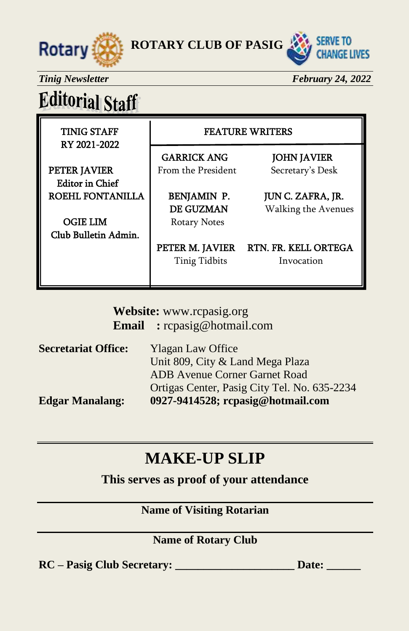



*Tinig Newsletter* February 24, 2022

### **Editorial Staff**

TINIG STAFF FEATURE WRITERS RY 2021-2022

**PETER JAVIER** From the President Secretary's Desk Editor in Chief ROEHL FONTANILLA | BENJAMIN P. JUN C. ZAFRA, JR.

OGIE LIM Rotary Notes Club Bulletin Admin.

GARRICK ANG JOHN JAVIER

DE GUZMAN Walking the Avenues

PETER M. JAVIER RTN. FR. KELL ORTEGA Tinig Tidbits Invocation

**Website:** [www.rcpasig.org](http://www.rcpasig.org/) **Email :** [rcpasig@hotmail.com](mailto:rcpasig@hotmail.com) 

| <b>Secretariat Office:</b> | <b>Ylagan Law Office</b>                     |
|----------------------------|----------------------------------------------|
|                            | Unit 809, City & Land Mega Plaza             |
|                            | ADB Avenue Corner Garnet Road                |
|                            | Ortigas Center, Pasig City Tel. No. 635-2234 |
| <b>Edgar Manalang:</b>     | 0927-9414528; rcpasig@hotmail.com            |

### **MAKE-UP SLIP**

**This serves as proof of your attendance** 

#### **Name of Visiting Rotarian**

#### **Name of Rotary Club**

**RC – Pasig Club Secretary: \_\_\_\_\_\_\_\_\_\_\_\_\_\_\_\_\_\_\_\_\_ Date: \_\_\_\_\_\_**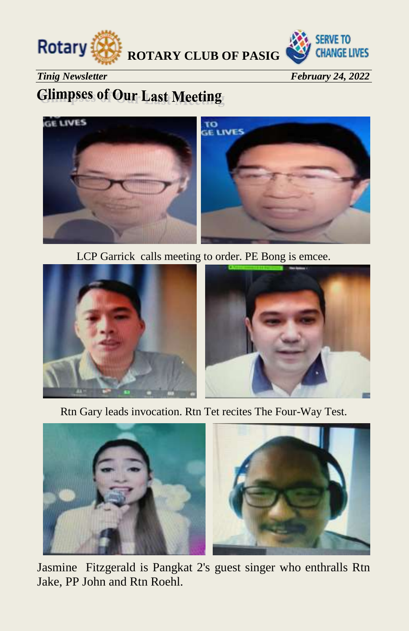



*Tinig Newsletter* February 24, 2022

### **Glimpses of Our Last Meeting**



LCP Garrick calls meeting to order. PE Bong is emcee.



Rtn Gary leads invocation. Rtn Tet recites The Four-Way Test.



Jasmine Fitzgerald is Pangkat 2's guest singer who enthralls Rtn Jake, PP John and Rtn Roehl.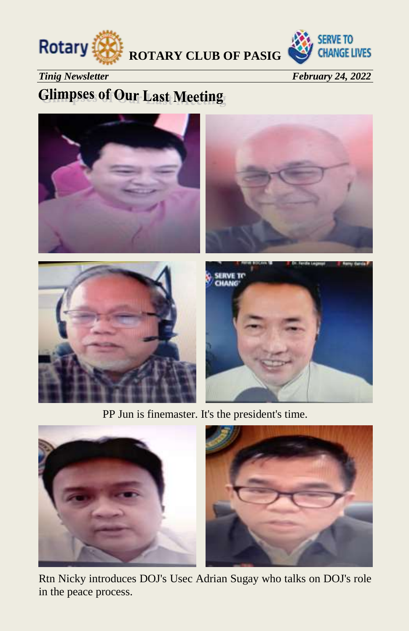



*Tinig Newsletter* February 24, 2022

### **Glimpses of Our Last Meeting**



PP Jun is finemaster. It's the president's time.



Rtn Nicky introduces DOJ's Usec Adrian Sugay who talks on DOJ's role in the peace process.